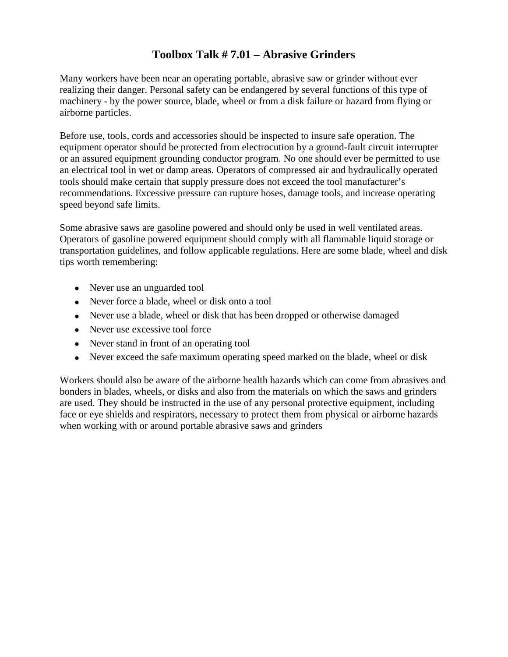## **Toolbox Talk # 7.01 – Abrasive Grinders**

Many workers have been near an operating portable, abrasive saw or grinder without ever realizing their danger. Personal safety can be endangered by several functions of this type of machinery - by the power source, blade, wheel or from a disk failure or hazard from flying or airborne particles.

Before use, tools, cords and accessories should be inspected to insure safe operation. The equipment operator should be protected from electrocution by a ground-fault circuit interrupter or an assured equipment grounding conductor program. No one should ever be permitted to use an electrical tool in wet or damp areas. Operators of compressed air and hydraulically operated tools should make certain that supply pressure does not exceed the tool manufacturer's recommendations. Excessive pressure can rupture hoses, damage tools, and increase operating speed beyond safe limits.

Some abrasive saws are gasoline powered and should only be used in well ventilated areas. Operators of gasoline powered equipment should comply with all flammable liquid storage or transportation guidelines, and follow applicable regulations. Here are some blade, wheel and disk tips worth remembering:

- Never use an unguarded tool
- Never force a blade, wheel or disk onto a tool
- Never use a blade, wheel or disk that has been dropped or otherwise damaged
- Never use excessive tool force
- Never stand in front of an operating tool
- Never exceed the safe maximum operating speed marked on the blade, wheel or disk

Workers should also be aware of the airborne health hazards which can come from abrasives and bonders in blades, wheels, or disks and also from the materials on which the saws and grinders are used. They should be instructed in the use of any personal protective equipment, including face or eye shields and respirators, necessary to protect them from physical or airborne hazards when working with or around portable abrasive saws and grinders